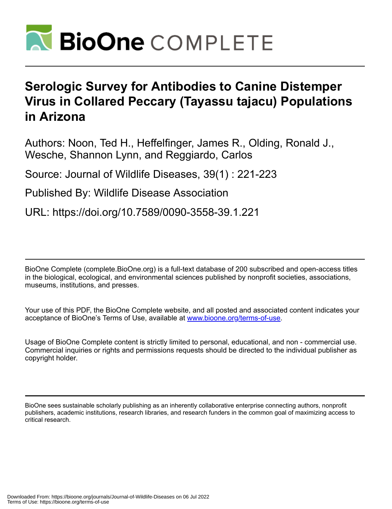

## **Serologic Survey for Antibodies to Canine Distemper Virus in Collared Peccary (Tayassu tajacu) Populations in Arizona**

Authors: Noon, Ted H., Heffelfinger, James R., Olding, Ronald J., Wesche, Shannon Lynn, and Reggiardo, Carlos

Source: Journal of Wildlife Diseases, 39(1) : 221-223

Published By: Wildlife Disease Association

URL: https://doi.org/10.7589/0090-3558-39.1.221

BioOne Complete (complete.BioOne.org) is a full-text database of 200 subscribed and open-access titles in the biological, ecological, and environmental sciences published by nonprofit societies, associations, museums, institutions, and presses.

Your use of this PDF, the BioOne Complete website, and all posted and associated content indicates your acceptance of BioOne's Terms of Use, available at www.bioone.org/terms-of-use.

Usage of BioOne Complete content is strictly limited to personal, educational, and non - commercial use. Commercial inquiries or rights and permissions requests should be directed to the individual publisher as copyright holder.

BioOne sees sustainable scholarly publishing as an inherently collaborative enterprise connecting authors, nonprofit publishers, academic institutions, research libraries, and research funders in the common goal of maximizing access to critical research.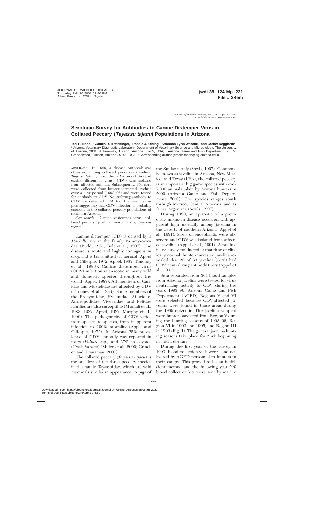## **Serologic Survey for Antibodies to Canine Distemper Virus in Collared Peccary (Tayassu tajacu) Populations in Arizona**

**Ted H. Noon,**1,3 **James R. Heffelfinger,**<sup>2</sup> **Ronald J. Olding,**<sup>2</sup> **Shannon Lynn Wesche,**<sup>1</sup> **and Carlos Reggiardo**<sup>1</sup> <sup>1</sup> Arizona Veterinary Diagnostic Laboratory, Department of Veterinary Science and Microbiology, The University of Arizona, 2831 N. Freeway, Tucson, Arizona 85705, USA; <sup>2</sup> Arizona Game and Fish Department, 555 N. Greasewood, Tucson, Arizona 85745, USA; <sup>3</sup> Corresponding author (email: tnoon@ag.arizona.edu)

ABSTRACT: In 1989, a disease outbreak was observed among collared peccaries (javelina, *Tayassu tajacu*) in southern Arizona (USA) and canine distemper virus (CDV) was isolated from affected animals. Subsequently, 364 sera were collected from hunter-harvested javelina over a 4 yr period (1993–96) and were tested for antibody to CDV. Neutralizing antibody to CDV was detected in 58% of the serum samples suggesting that CDV infection is probably enzootic in the collared peccary populations of southern Arizona.

*Key words:* Canine distemper virus, collared peccary, javelina, morbillivirus, *Tayassu tajacu.*

Canine distemper (CD) is caused by a *Morbillivirus* in the family Paramyxoviridae (Budd, 1981; Bolt et al., 1997). The disease is acute and highly contagious in dogs and is transmitted via aerosol (Appel and Gillespie, 1972; Appel, 1987; Timoney et al., 1988). Canine distemper virus (CDV) infection is enzootic in many wild and domestic species throughout the world (Appel, 1987). All members of Canidae and Mustelidae are affected by CDV (Timoney et al., 1988). Some members of the Procyonidae, Hyaenidae, Ailuridae, Ailuropodidae, Viverridae, and Felidae families are also susceptible (Montali et al., 1983, 1987; Appel, 1987; Murphy et al., 1999). The pathogenicity of CDV varies from species to species, from inapparent infection to 100% mortality (Appel and Gillespie, 1972). In Arizona 25% prevalence of CDV antibody was reported in foxes (*Vulpes* spp.) and 27% in coyotes (*Canis latrans*) (Miller et al., 2000; Grinder and Krausman, 2001).

The collared peccary (*Tayassu tajacu*) is the smallest of the three peccary species in the family Tayassuidae, which are wild mammals similar in appearance to pigs of

the Suidae family (Sowls, 1997). Commonly known as javelina in Arizona, New Mexico, and Texas (USA), the collared peccary is an important big game species with over 7,000 animals taken by Arizona hunters in 2000 (Arizona Game and Fish Department, 2001). The species ranges south through Mexico, Central America, and as far as Argentina (Sowls, 1997).

During 1989, an epizootic of a previously unknown disease occurred with apparent high mortality among javelina in the deserts of southern Arizona (Appel et al., 1991). Signs of encephalitis were observed and CDV was isolated from affected javelina (Appel et al., 1991). A preliminary survey conducted at that time of clinically normal, hunter-harvested javelina revealed that 20 of 33 javelina (61%) had CDV neutralizing antibody titers (Appel et al., 1991).

Sera separated from 364 blood samples from Arizona javelina were tested for virus neutralizing activity to CDV during the years 1993–96. Arizona Game and Fish Department (AGFD) Regions V and VI were selected because CDV-affected javelina were found in those areas during the 1989 epizootic. The javelina sampled were hunter-harvested from Region V during the hunting seasons of 1993–96, Region VI in 1993 and 1995, and Region III in 1993 (Fig. 1). The general javelina hunting seasons take place for 2 wk beginning in mid-February.

During the first year of the survey in 1993, blood-collection vials were hand-delivered by AGFD personnel to hunters in their camps. This proved to be an inefficient method and the following year 200 blood collection kits were sent by mail to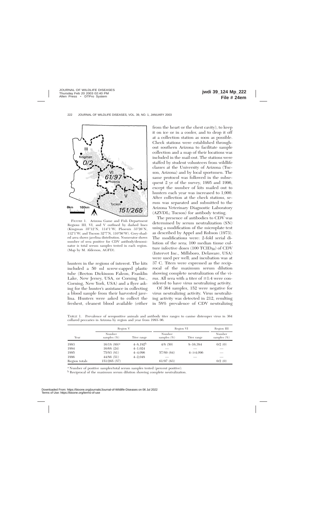

FIGURE 1. Arizona Game and Fish Department Regions III, VI, and V outlined by dashed lines (Kingman 35°12'N, 114°1'W; Phoenix 33°26'N, 112°1'W; and Tucson 32°7'N, 110°56'W). Grey-shaded area shows javelina distribution. Numerator shows number of sera positive for CDV antibody/denominator is total serum samples tested in each region. (Map by M. Alderson, AGFD).

hunters in the regions of interest. The kits included a 50 ml screw-capped plastic tube (Becton Dickinson Falcon, Franklin Lake, New Jersey, USA, or Corning Inc., Corning, New York, USA) and a flyer asking for the hunter's assistance in collecting a blood sample from their harvested javelina. Hunters were asked to collect the freshest, cleanest blood available (either

from the heart or the chest cavity), to keep it on ice or in a cooler, and to drop it off at a collection station as soon as possible. Check stations were established throughout southern Arizona to facilitate sample collection and a map of their locations was included in the mail-out. The stations were staffed by student volunteers from wildlife classes at the University of Arizona (Tucson, Arizona) and by local sportsmen. The same protocol was followed in the subsequent 2 yr of the survey, 1995 and 1996, except the number of kits mailed out to hunters each year was increased to 1,000. After collection at the check stations, serum was separated and submitted to the Arizona Veterinary Diagnostic Laboratory (AZVDL; Tucson) for antibody testing.

The presence of antibodies to CDV was determined by serum neutralization (SN) using a modification of the microplate test as described by Appel and Robson (1973). The modifications were: 2-fold serial dilution of the sera; 100 median tissue culture infective doses  $(100 \text{ TCID}_{50})$  of CDV (Intervet Inc., Millsboro, Delaware, USA) were used per well; and incubation was at 37 C. Titers were expressed as the reciprocal of the maximum serum dilution showing complete neutralization of the virus. All sera with a titer of  $\geq 1:4$  were considered to have virus neutralizing activity.

Of 364 samples, 152 were negative for virus neutralizing activity. Virus neutralizing activity was detected in 212, resulting in 58% prevalence of CDV neutralizing

TABLE 1. Prevalence of seropositive animals and antibody titer ranges to canine distemper virus in 364 collared peccaries in Arizona by region and year from 1993–96.

|               | Region V                  |             | Region VI                 |              | Region III               |
|---------------|---------------------------|-------------|---------------------------|--------------|--------------------------|
| Year          | Number<br>samples $(\% )$ | Titer range | Number<br>samples $(\% )$ | Titer range  | Number<br>samples $(\%)$ |
| 1993          | $16/18$ (89) <sup>a</sup> | $4 - 8,192$ | 4/8(50)                   | 8-16,384     | 0/2(0)                   |
| 1994          | 16/68 (24)                | $4 - 1,024$ |                           |              |                          |
| 1995          | 75/93(81)                 | $4 - 4,096$ | 57/89 (64)                | $4 = 24,096$ |                          |
| 1996          | 44/86(51)                 | $4 - 2.048$ |                           |              |                          |
| Region totals | 151/265 (57)              |             | 61/97(63)                 |              | 0/2(0)                   |

<sup>a</sup> Number of positive samples/total serum samples tested (percent positive).

<sup>b</sup> Reciprocal of the maximum serum dilution showing complete neutralization.